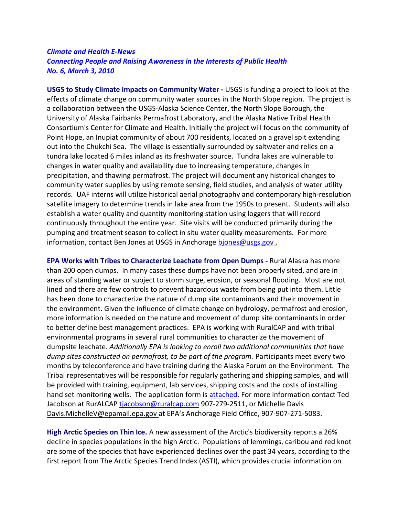## *Climate and Health E-News Connecting People and Raising Awareness in the Interests of Public Health No. 6, March 3, 2010*

**USGS to Study Climate Impacts on Community Water -** USGS is funding a project to look at the effects of climate change on community water sources in the North Slope region. The project is a collaboration between the USGS-Alaska Science Center, the North Slope Borough, the University of Alaska Fairbanks Permafrost Laboratory, and the Alaska Native Tribal Health Consortium's Center for Climate and Health. Initially the project will focus on the community of Point Hope, an Inupiat community of about 700 residents, located on a gravel spit extending out into the Chukchi Sea. The village is essentially surrounded by saltwater and relies on a tundra lake located 6 miles inland as its freshwater source. Tundra lakes are vulnerable to changes in water quality and availability due to increasing temperature, changes in precipitation, and thawing permafrost. The project will document any historical changes to community water supplies by using remote sensing, field studies, and analysis of water utility records. UAF interns will utilize historical aerial photography and contemporary high-resolution satellite imagery to determine trends in lake area from the 1950s to present. Students will also establish a water quality and quantity monitoring station using loggers that will record continuously throughout the entire year. Site visits will be conducted primarily during the pumping and treatment season to collect in situ water quality measurements. For more information, contact Ben Jones at USGS in Anchorage biones@usgs.gov.

**EPA Works with Tribes to Characterize Leachate from Open Dumps -** Rural Alaska has more than 200 open dumps. In many cases these dumps have not been properly sited, and are in areas of standing water or subject to storm surge, erosion, or seasonal flooding. Most are not lined and there are few controls to prevent hazardous waste from being put into them. Little has been done to characterize the nature of dump site contaminants and their movement in the environment. Given the influence of climate change on hydrology, permafrost and erosion, more information is needed on the nature and movement of dump site contaminants in order to better define best management practices. EPA is working with RuralCAP and with tribal environmental programs in several rural communities to characterize the movement of dumpsite leachate. *Additionally EPA is looking to enroll two additional communities that have dump sites constructed on permafrost, to be part of the program.* Participants meet every two months by teleconference and have training during the Alaska Forum on the Environment. The Tribal representatives will be responsible for regularly gathering and shipping samples, and will be provided with training, equipment, lab services, shipping costs and the costs of installing hand set monitoring wells. The application form is [attached.](https://consortiumlibrary.org/aml/arctichealth/docs/ClimateHealthEnews/RARE%20Interest%20Form.doc) For more information contact Ted Jacobson at RurALCAP [tjacobson@ruralcap.com](mailto:tjacobson@ruralcap.com) 907-279-2511, or Michelle Davis [Davis.MichelleV@epamail.epa.gov](mailto:Davis.MichelleV@epamail.epa.gov) at EPA's Anchorage Field Office, 907-907-271-5083.

**High Arctic Species on Thin Ice.** A new assessment of the Arctic's biodiversity reports a 26% decline in species populations in the high Arctic. Populations of lemmings, caribou and red knot are some of the species that have experienced declines over the past 34 years, according to the first report from The Arctic Species Trend Index (ASTI), which provides crucial information on